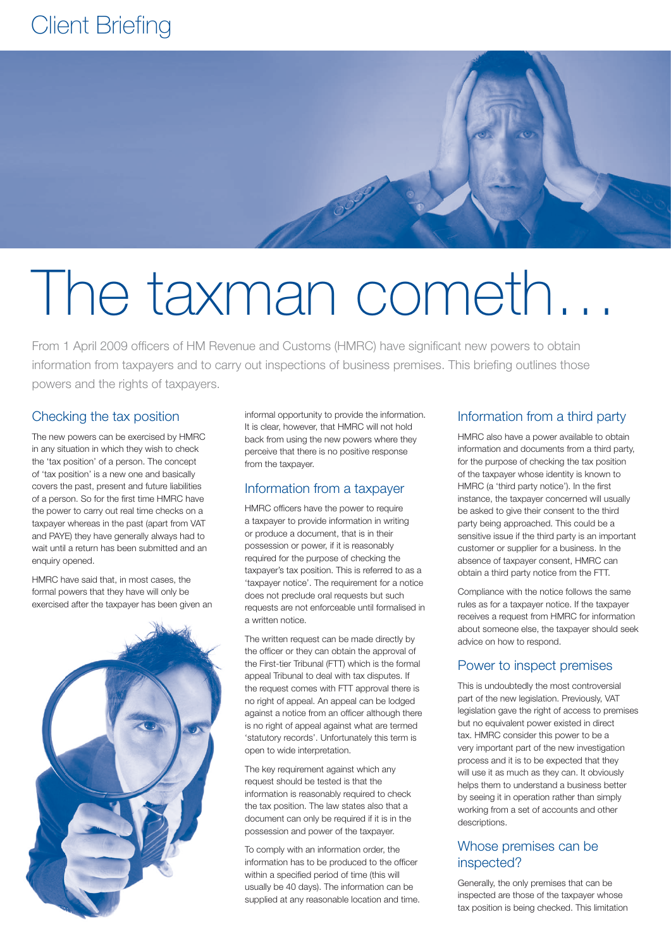# Client Briefing



# The taxman cometh…

From 1 April 2009 officers of HM Revenue and Customs (HMRC) have significant new powers to obtain information from taxpayers and to carry out inspections of business premises. This briefing outlines those powers and the rights of taxpayers.

# Checking the tax position

The new powers can be exercised by HMRC in any situation in which they wish to check the 'tax position' of a person. The concept of 'tax position' is a new one and basically covers the past, present and future liabilities of a person. So for the first time HMRC have the power to carry out real time checks on a taxpayer whereas in the past (apart from VAT and PAYE) they have generally always had to wait until a return has been submitted and an enquiry opened.

HMRC have said that, in most cases, the formal powers that they have will only be exercised after the taxpayer has been given an



informal opportunity to provide the information. It is clear, however, that HMRC will not hold back from using the new powers where they perceive that there is no positive response from the taxpayer.

#### Information from a taxpayer

HMRC officers have the power to require a taxpayer to provide information in writing or produce a document, that is in their possession or power, if it is reasonably required for the purpose of checking the taxpayer's tax position. This is referred to as a 'taxpayer notice'. The requirement for a notice does not preclude oral requests but such requests are not enforceable until formalised in a written notice.

The written request can be made directly by the officer or they can obtain the approval of the First-tier Tribunal (FTT) which is the formal appeal Tribunal to deal with tax disputes. If the request comes with FTT approval there is no right of appeal. An appeal can be lodged against a notice from an officer although there is no right of appeal against what are termed 'statutory records'. Unfortunately this term is open to wide interpretation.

The key requirement against which any request should be tested is that the information is reasonably required to check the tax position. The law states also that a document can only be required if it is in the possession and power of the taxpayer.

To comply with an information order, the information has to be produced to the officer within a specified period of time (this will usually be 40 days). The information can be supplied at any reasonable location and time.

#### Information from a third party

HMRC also have a power available to obtain information and documents from a third party, for the purpose of checking the tax position of the taxpayer whose identity is known to HMRC (a 'third party notice'). In the first instance, the taxpayer concerned will usually be asked to give their consent to the third party being approached. This could be a sensitive issue if the third party is an important customer or supplier for a business. In the absence of taxpayer consent, HMRC can obtain a third party notice from the FTT.

Compliance with the notice follows the same rules as for a taxpayer notice. If the taxpayer receives a request from HMRC for information about someone else, the taxpayer should seek advice on how to respond.

# Power to inspect premises

This is undoubtedly the most controversial part of the new legislation. Previously, VAT legislation gave the right of access to premises but no equivalent power existed in direct tax. HMRC consider this power to be a very important part of the new investigation process and it is to be expected that they will use it as much as they can. It obviously helps them to understand a business better by seeing it in operation rather than simply working from a set of accounts and other descriptions.

#### Whose premises can be inspected?

Generally, the only premises that can be inspected are those of the taxpayer whose tax position is being checked. This limitation